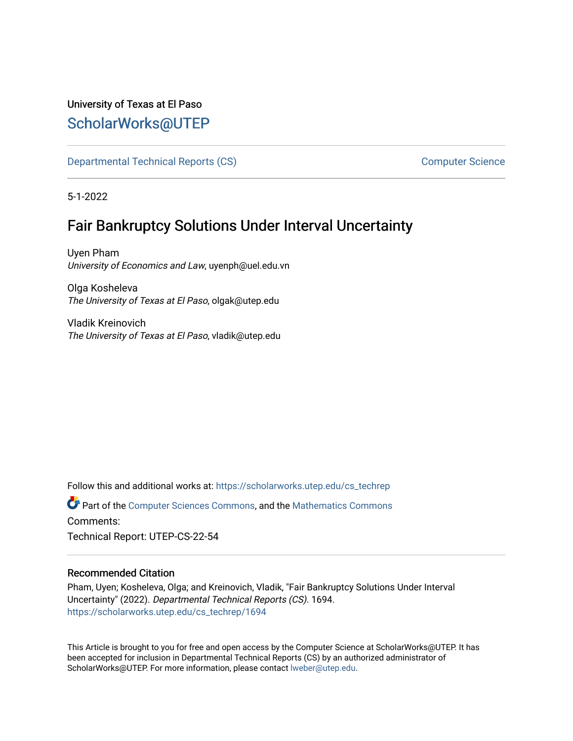# University of Texas at El Paso [ScholarWorks@UTEP](https://scholarworks.utep.edu/)

[Departmental Technical Reports \(CS\)](https://scholarworks.utep.edu/cs_techrep) [Computer Science](https://scholarworks.utep.edu/computer) 

5-1-2022

# Fair Bankruptcy Solutions Under Interval Uncertainty

Uyen Pham University of Economics and Law, uyenph@uel.edu.vn

Olga Kosheleva The University of Texas at El Paso, olgak@utep.edu

Vladik Kreinovich The University of Texas at El Paso, vladik@utep.edu

Follow this and additional works at: [https://scholarworks.utep.edu/cs\\_techrep](https://scholarworks.utep.edu/cs_techrep?utm_source=scholarworks.utep.edu%2Fcs_techrep%2F1694&utm_medium=PDF&utm_campaign=PDFCoverPages) 

Part of the [Computer Sciences Commons](https://network.bepress.com/hgg/discipline/142?utm_source=scholarworks.utep.edu%2Fcs_techrep%2F1694&utm_medium=PDF&utm_campaign=PDFCoverPages), and the [Mathematics Commons](https://network.bepress.com/hgg/discipline/174?utm_source=scholarworks.utep.edu%2Fcs_techrep%2F1694&utm_medium=PDF&utm_campaign=PDFCoverPages)  Comments:

Technical Report: UTEP-CS-22-54

## Recommended Citation

Pham, Uyen; Kosheleva, Olga; and Kreinovich, Vladik, "Fair Bankruptcy Solutions Under Interval Uncertainty" (2022). Departmental Technical Reports (CS). 1694. [https://scholarworks.utep.edu/cs\\_techrep/1694](https://scholarworks.utep.edu/cs_techrep/1694?utm_source=scholarworks.utep.edu%2Fcs_techrep%2F1694&utm_medium=PDF&utm_campaign=PDFCoverPages) 

This Article is brought to you for free and open access by the Computer Science at ScholarWorks@UTEP. It has been accepted for inclusion in Departmental Technical Reports (CS) by an authorized administrator of ScholarWorks@UTEP. For more information, please contact [lweber@utep.edu](mailto:lweber@utep.edu).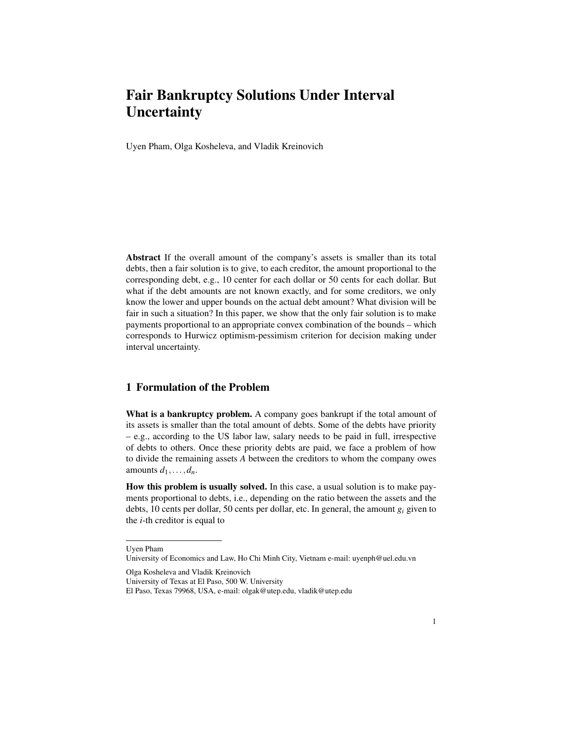Uyen Pham, Olga Kosheleva, and Vladik Kreinovich

Abstract If the overall amount of the company's assets is smaller than its total debts, then a fair solution is to give, to each creditor, the amount proportional to the corresponding debt, e.g., 10 center for each dollar or 50 cents for each dollar. But what if the debt amounts are not known exactly, and for some creditors, we only know the lower and upper bounds on the actual debt amount? What division will be fair in such a situation? In this paper, we show that the only fair solution is to make payments proportional to an appropriate convex combination of the bounds – which corresponds to Hurwicz optimism-pessimism criterion for decision making under interval uncertainty.

### 1 Formulation of the Problem

What is a bankruptcy problem. A company goes bankrupt if the total amount of its assets is smaller than the total amount of debts. Some of the debts have priority – e.g., according to the US labor law, salary needs to be paid in full, irrespective of debts to others. Once these priority debts are paid, we face a problem of how to divide the remaining assets *A* between the creditors to whom the company owes amounts  $d_1, \ldots, d_n$ .

How this problem is usually solved. In this case, a usual solution is to make payments proportional to debts, i.e., depending on the ratio between the assets and the debts, 10 cents per dollar, 50 cents per dollar, etc. In general, the amount *g<sup>i</sup>* given to the *i*-th creditor is equal to

Uyen Pham

University of Economics and Law, Ho Chi Minh City, Vietnam e-mail: uyenph@uel.edu.vn

Olga Kosheleva and Vladik Kreinovich

University of Texas at El Paso, 500 W. University

El Paso, Texas 79968, USA, e-mail: olgak@utep.edu, vladik@utep.edu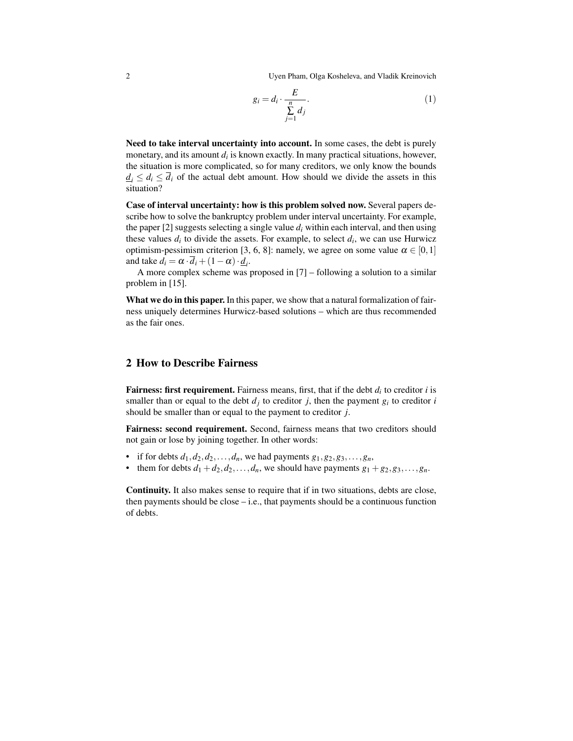2 Uyen Pham, Olga Kosheleva, and Vladik Kreinovich

$$
g_i = d_i \cdot \frac{E}{\sum_{j=1}^n d_j}.
$$
 (1)

Need to take interval uncertainty into account. In some cases, the debt is purely monetary, and its amount *d<sup>i</sup>* is known exactly. In many practical situations, however, the situation is more complicated, so for many creditors, we only know the bounds  $d_i \leq d_i \leq \overline{d_i}$  of the actual debt amount. How should we divide the assets in this situation?

Case of interval uncertainty: how is this problem solved now. Several papers describe how to solve the bankruptcy problem under interval uncertainty. For example, the paper [2] suggests selecting a single value  $d_i$  within each interval, and then using these values  $d_i$  to divide the assets. For example, to select  $d_i$ , we can use Hurwicz optimism-pessimism criterion [3, 6, 8]: namely, we agree on some value  $\alpha \in [0,1]$ and take  $d_i = \alpha \cdot \overline{d}_i + (1 - \alpha) \cdot \underline{d}_i$ .

A more complex scheme was proposed in [7] – following a solution to a similar problem in [15].

What we do in this paper. In this paper, we show that a natural formalization of fairness uniquely determines Hurwicz-based solutions – which are thus recommended as the fair ones.

#### 2 How to Describe Fairness

Fairness: first requirement. Fairness means, first, that if the debt  $d_i$  to creditor *i* is smaller than or equal to the debt  $d_j$  to creditor *j*, then the payment  $g_i$  to creditor *i* should be smaller than or equal to the payment to creditor *j*.

Fairness: second requirement. Second, fairness means that two creditors should not gain or lose by joining together. In other words:

- if for debts  $d_1, d_2, d_2, \ldots, d_n$ , we had payments  $g_1, g_2, g_3, \ldots, g_n$ ,
- them for debts  $d_1 + d_2, d_2, \ldots, d_n$ , we should have payments  $g_1 + g_2, g_3, \ldots, g_n$ .

Continuity. It also makes sense to require that if in two situations, debts are close, then payments should be close  $-i.e.,$  that payments should be a continuous function of debts.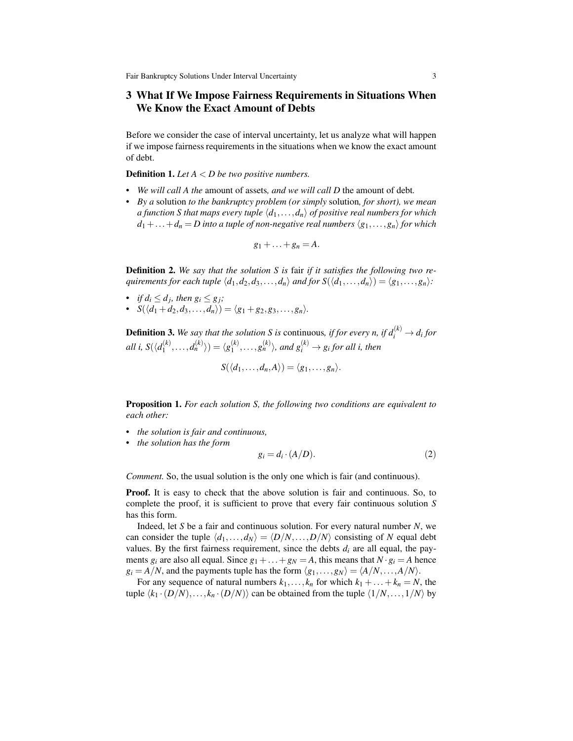## 3 What If We Impose Fairness Requirements in Situations When We Know the Exact Amount of Debts

Before we consider the case of interval uncertainty, let us analyze what will happen if we impose fairness requirements in the situations when we know the exact amount of debt.

Definition 1. *Let A* < *D be two positive numbers.*

- *• We will call A the* amount of assets*, and we will call D* the amount of debt*.*
- *• By a* solution *to the bankruptcy problem (or simply* solution*, for short), we mean a function S that maps every tuple*  $\langle d_1, \ldots, d_n \rangle$  *of positive real numbers for which*  $d_1 + \ldots + d_n = D$  into a tuple of non-negative real numbers  $\langle g_1, \ldots, g_n \rangle$  for which

$$
g_1+\ldots+g_n=A.
$$

Definition 2. *We say that the solution S is* fair *if it satisfies the following two requirements for each tuple*  $\langle d_1, d_2, d_3, \ldots, d_n \rangle$  *and for*  $S(\langle d_1, \ldots, d_n \rangle) = \langle g_1, \ldots, g_n \rangle$ :

- *if*  $d_i \leq d_j$ *, then*  $g_i \leq g_j$ *;*
- $S(\langle d_1 + d_2, d_3, \ldots, d_n \rangle) = \langle g_1 + g_2, g_3, \ldots, g_n \rangle$ .

**Definition 3.** We say that the solution S is continuous, if for every n, if  $d_i^{(k)} \rightarrow d_i$  for *all i,*  $S(\langle d_1^{(k)} \rangle)$  $\langle k_{1}^{(k)},\ldots,d_{n}^{(k)}\rangle=\langle g_{1}^{(k)}\rangle$  $\binom{k}{1}, \ldots, \binom{k}{n}$ , and  $\binom{k}{i} \rightarrow g_i$  for all *i*, then

$$
S(\langle d_1,\ldots,d_n,A\rangle)=\langle g_1,\ldots,g_n\rangle.
$$

Proposition 1. *For each solution S, the following two conditions are equivalent to each other:*

- *• the solution is fair and continuous,*
- *• the solution has the form*

$$
g_i = d_i \cdot (A/D). \tag{2}
$$

*Comment.* So, the usual solution is the only one which is fair (and continuous).

Proof. It is easy to check that the above solution is fair and continuous. So, to complete the proof, it is sufficient to prove that every fair continuous solution *S* has this form.

Indeed, let *S* be a fair and continuous solution. For every natural number *N*, we can consider the tuple  $\langle d_1, \ldots, d_N \rangle = \langle D/N, \ldots, D/N \rangle$  consisting of *N* equal debt values. By the first fairness requirement, since the debts  $d_i$  are all equal, the payments  $g_i$  are also all equal. Since  $g_1 + \ldots + g_N = A$ , this means that  $N \cdot g_i = A$  hence  $g_i = A/N$ , and the payments tuple has the form  $\langle g_1, \ldots, g_N \rangle = \langle A/N, \ldots, A/N \rangle$ .

For any sequence of natural numbers  $k_1, \ldots, k_n$  for which  $k_1 + \ldots + k_n = N$ , the tuple  $\langle k_1 \cdot (D/N), \ldots, k_n \cdot (D/N) \rangle$  can be obtained from the tuple  $\langle 1/N, \ldots, 1/N \rangle$  by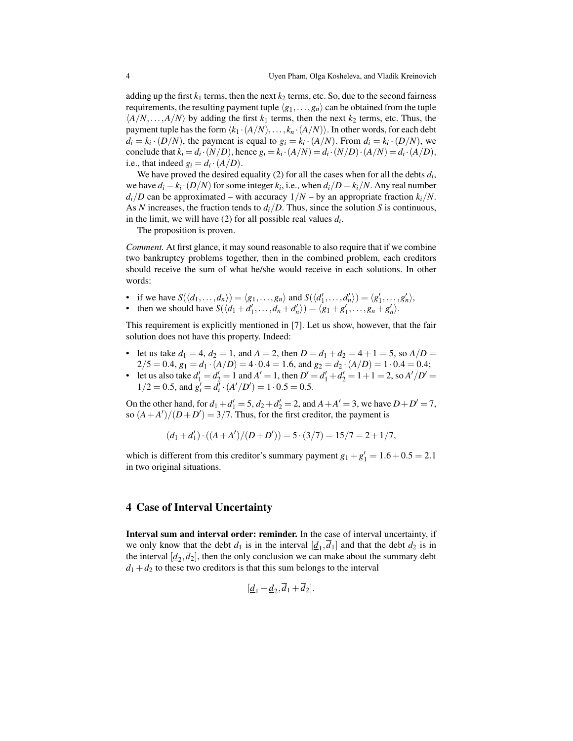adding up the first  $k_1$  terms, then the next  $k_2$  terms, etc. So, due to the second fairness requirements, the resulting payment tuple  $\langle g_1, \ldots, g_n \rangle$  can be obtained from the tuple  $\langle A/N, \ldots, A/N \rangle$  by adding the first  $k_1$  terms, then the next  $k_2$  terms, etc. Thus, the payment tuple has the form  $\langle k_1 \cdot (A/N), \ldots, k_n \cdot (A/N) \rangle$ . In other words, for each debt  $d_i = k_i \cdot (D/N)$ , the payment is equal to  $g_i = k_i \cdot (A/N)$ . From  $d_i = k_i \cdot (D/N)$ , we conclude that  $k_i = d_i \cdot (N/D)$ , hence  $g_i = k_i \cdot (A/N) = d_i \cdot (N/D) \cdot (A/N) = d_i \cdot (A/D)$ , i.e., that indeed  $g_i = d_i \cdot (A/D)$ .

We have proved the desired equality  $(2)$  for all the cases when for all the debts  $d_i$ , we have  $d_i = k_i \cdot (D/N)$  for some integer  $k_i$ , i.e., when  $d_i/D = k_i/N$ . Any real number  $d_i/D$  can be approximated – with accuracy  $1/N$  – by an appropriate fraction  $k_i/N$ . As *N* increases, the fraction tends to  $d_i/D$ . Thus, since the solution *S* is continuous, in the limit, we will have (2) for all possible real values *d<sup>i</sup>* .

The proposition is proven.

*Comment.* At first glance, it may sound reasonable to also require that if we combine two bankruptcy problems together, then in the combined problem, each creditors should receive the sum of what he/she would receive in each solutions. In other words:

- if we have  $S(\langle d_1, \ldots, d_n \rangle) = \langle g_1, \ldots, g_n \rangle$  and  $S(\langle d'_1, \ldots, d'_n \rangle) = \langle g'_1, \ldots, g'_n \rangle$ ,
- then we should have  $S(\langle d_1 + d'_1, \ldots, d_n + d'_n \rangle) = \langle g_1 + g'_1, \ldots, g_n + g'_n \rangle$ .

This requirement is explicitly mentioned in [7]. Let us show, however, that the fair solution does not have this property. Indeed:

- let us take  $d_1 = 4$ ,  $d_2 = 1$ , and  $A = 2$ , then  $D = d_1 + d_2 = 4 + 1 = 5$ , so  $A/D =$  $2/5 = 0.4$ ,  $g_1 = d_1 \cdot (A/D) = 4 \cdot 0.4 = 1.6$ , and  $g_2 = d_2 \cdot (A/D) = 1 \cdot 0.4 = 0.4$ ;
- let us also take  $d'_1 = d'_2 = 1$  and  $A' = 1$ , then  $D' = d'_1 + d'_2 = 1 + 1 = 2$ , so  $A'/D' = 1$  $1/2 = 0.5$ , and  $g_i' = d_i^T \cdot (A'/D') = 1 \cdot 0.5 = 0.5$ .

On the other hand, for  $d_1 + d_1' = 5$ ,  $d_2 + d_2' = 2$ , and  $A + A' = 3$ , we have  $D + D' = 7$ , so  $(A + A')/(D + D') = 3/7$ . Thus, for the first creditor, the payment is

$$
(d_1 + d'_1) \cdot ((A + A')/(D + D')) = 5 \cdot (3/7) = 15/7 = 2 + 1/7,
$$

which is different from this creditor's summary payment  $g_1 + g'_1 = 1.6 + 0.5 = 2.1$ in two original situations.

#### 4 Case of Interval Uncertainty

Interval sum and interval order: reminder. In the case of interval uncertainty, if we only know that the debt  $d_1$  is in the interval  $[\underline{d}_1, d_1]$  and that the debt  $d_2$  is in the interval  $[\underline{d}_2, \overline{d}_2]$ , then the only conclusion we can make about the summary debt  $d_1 + d_2$  to these two creditors is that this sum belongs to the interval

$$
[\underline{d}_1+\underline{d}_2,d_1+d_2].
$$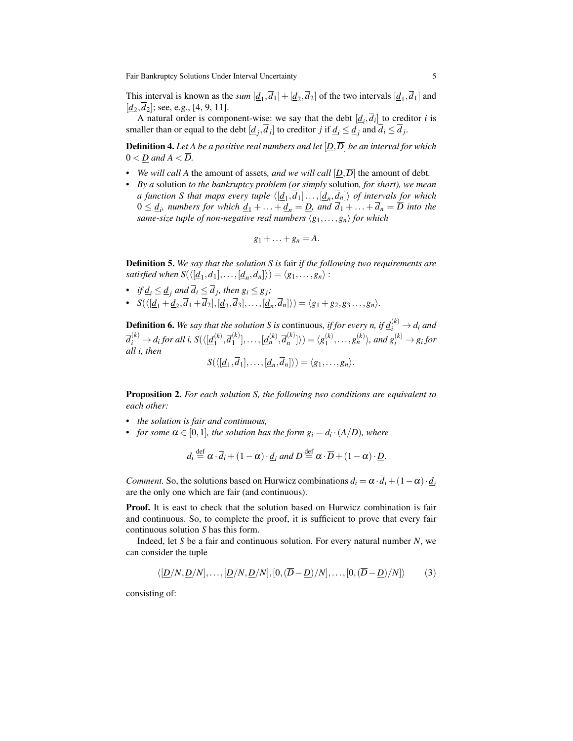This interval is known as the *sum*  $[d_1, d_1] + [d_2, d_2]$  of the two intervals  $[d_1, d_1]$  and  $[\underline{d}_2, d_2]$ ; see, e.g., [4, 9, 11].

A natural order is component-wise: we say that the debt  $[d_i, d_i]$  to creditor *i* is smaller than or equal to the debt  $[\underline{d}_j, \overline{d}_j]$  to creditor *j* if  $\underline{d}_i \leq \underline{d}_j$  and  $\overline{d}_i \leq \overline{d}_j$ .

Definition 4. *Let A be a positive real numbers and let* [*D*,*D*] *be an interval for which*  $0 < D$  and  $A < D$ .

- *We will call A* the amount of assets, and we will call  $[D, \overline{D}]$  the amount of debt.
- *• By a* solution *to the bankruptcy problem (or simply* solution*, for short), we mean a function S that maps every tuple*  $\langle [d_1, d_1] \ldots, [d_n, d_n] \rangle$  *of intervals for which*  $0 \leq \underline{d}_i$ , numbers for which  $\underline{d}_1 + \ldots + \underline{d}_n = \underline{D}$ , and  $d_1 + \ldots + d_n = \overline{D}$  into the *same-size tuple of non-negative real numbers*  $\langle g_1, \ldots, g_n \rangle$  *for which*

$$
g_1+\ldots+g_n=A.
$$

Definition 5. *We say that the solution S is* fair *if the following two requirements are satisfied when*  $S(\langle [d_1, d_1], \ldots, [d_n, d_n] \rangle) = \langle g_1, \ldots, g_n \rangle$ :

- *if*  $\underline{d}_i \leq \underline{d}_j$  and  $d_i \leq d_j$ , then  $g_i \leq g_j$ ;
- $S(\langle [d_1 + d_2], [d_3, d_3], \ldots, [d_n, d_n] \rangle) = \langle g_1 + g_2, g_3, \ldots, g_n \rangle.$

**Definition 6.** We say that the solution S is continuous, if for every n, if  $\underline{d}_i^{(k)} \rightarrow d_i$  and  $\overline{d}_i^{(k)} \rightarrow d_i$  for all i, S $(\langle \underline{[d}_1^{(k)} \rangle$  $\overline{d}_1^{(k)}$ ,  $\overline{d}_1^{(k)}$  $\left[\frac{d^{(k)}}{1}\right], \ldots, \left[\underline{d}_{n}^{(k)}, \overline{d}_{n}^{(k)}\right]$  $\binom{k}{n}$   $\rangle$   $\rangle$   $=$   $\langle g_1^{(k)} \rangle$  $\binom{k}{1}, \ldots, \binom{k}{n}$ , and  $g_i^{(k)} \rightarrow g_i$  for *all i, then*  $S(\langle [d_1, \overline{d}_1], \ldots, [d_n, \overline{d}_n] \rangle) = \langle g_1, \ldots, g_n \rangle.$ 

Proposition 2. *For each solution S, the following two conditions are equivalent to each other:*

- *• the solution is fair and continuous,*
- *for some*  $\alpha \in [0,1]$ *, the solution has the form*  $g_i = d_i \cdot (A/D)$ *, where*

$$
d_i \stackrel{\text{def}}{=} \alpha \cdot \overline{d}_i + (1 - \alpha) \cdot \underline{d}_i
$$
 and  $D \stackrel{\text{def}}{=} \alpha \cdot \overline{D} + (1 - \alpha) \cdot \underline{D}$ .

*Comment.* So, the solutions based on Hurwicz combinations  $d_i = \alpha \cdot \overline{d_i} + (1 - \alpha) \cdot d_i$ are the only one which are fair (and continuous).

Proof. It is east to check that the solution based on Hurwicz combination is fair and continuous. So, to complete the proof, it is sufficient to prove that every fair continuous solution *S* has this form.

Indeed, let *S* be a fair and continuous solution. For every natural number *N*, we can consider the tuple

$$
\langle [\underline{D}/N, \underline{D}/N], \dots, [\underline{D}/N, \underline{D}/N], [0, (\overline{D} - \underline{D})/N], \dots, [0, (\overline{D} - \underline{D})/N] \rangle \tag{3}
$$

consisting of: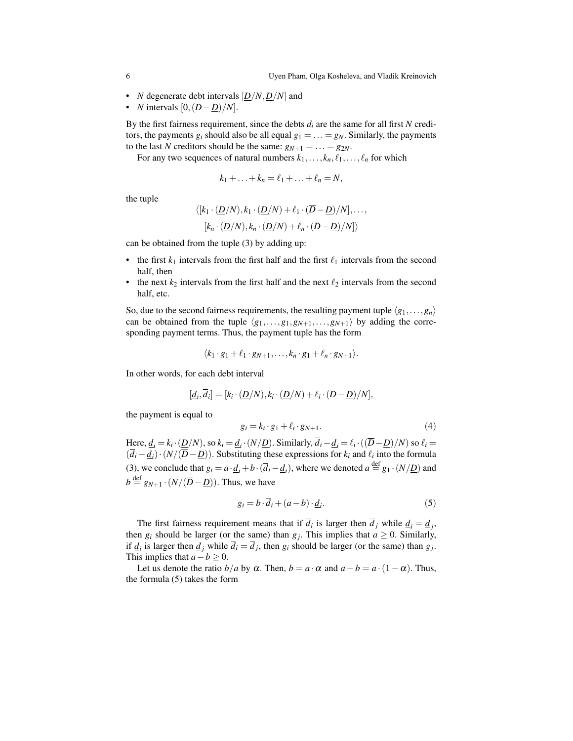- *N* degenerate debt intervals [*D*/*N*,*D*/*N*] and
- *N* intervals  $[0, (\overline{D} \underline{D})/N]$ .

By the first fairness requirement, since the debts  $d_i$  are the same for all first  $N$  creditors, the payments  $g_i$  should also be all equal  $g_1 = \ldots = g_N$ . Similarly, the payments to the last *N* creditors should be the same:  $g_{N+1} = \ldots = g_{2N}$ .

For any two sequences of natural numbers  $k_1, \ldots, k_n, \ell_1, \ldots, \ell_n$  for which

$$
k_1+\ldots+k_n=\ell_1+\ldots+\ell_n=N,
$$

the tuple

$$
\langle [k_1 \cdot (\underline{D}/N), k_1 \cdot (\underline{D}/N) + \ell_1 \cdot (\overline{D} - \underline{D})/N], \dots, [k_n \cdot (\underline{D}/N), k_n \cdot (\underline{D}/N) + \ell_n \cdot (\overline{D} - \underline{D})/N] \rangle
$$

can be obtained from the tuple (3) by adding up:

- the first  $k_1$  intervals from the first half and the first  $\ell_1$  intervals from the second half, then
- the next  $k_2$  intervals from the first half and the next  $\ell_2$  intervals from the second half, etc.

So, due to the second fairness requirements, the resulting payment tuple  $\langle g_1, \ldots, g_n \rangle$ can be obtained from the tuple  $\langle g_1, \ldots, g_{1}, g_{N+1}, \ldots, g_{N+1} \rangle$  by adding the corresponding payment terms. Thus, the payment tuple has the form

$$
\langle k_1 \cdot g_1 + \ell_1 \cdot g_{N+1}, \ldots, k_n \cdot g_1 + \ell_n \cdot g_{N+1} \rangle.
$$

In other words, for each debt interval

$$
[\underline{d}_i,\overline{d}_i] = [k_i \cdot (\underline{D}/N), k_i \cdot (\underline{D}/N) + \ell_i \cdot (\overline{D} - \underline{D})/N],
$$

the payment is equal to

$$
g_i = k_i \cdot g_1 + \ell_i \cdot g_{N+1}.\tag{4}
$$

Here,  $\underline{d}_i = k_i \cdot (\underline{D}/N)$ , so  $k_i = \underline{d}_i \cdot (N/\underline{D})$ . Similarly,  $\overline{d}_i - \underline{d}_i = \ell_i \cdot ((\overline{D} - \underline{D})/N)$  so  $\ell_i =$  $(d_i - \underline{d}_i) \cdot (N/(\overline{D} - \underline{D}))$ . Substituting these expressions for  $k_i$  and  $\ell_i$  into the formula (3), we conclude that  $g_i = a \cdot \underline{d}_i + b \cdot (\overline{d}_i - \underline{d}_i)$ , where we denoted  $a \stackrel{\text{def}}{=} g_1 \cdot (N/\underline{D})$  and  $b \stackrel{\text{def}}{=} g_{N+1} \cdot (N/(\overline{D} - \underline{D}))$ . Thus, we have

$$
g_i = b \cdot \overline{d}_i + (a - b) \cdot \underline{d}_i. \tag{5}
$$

The first fairness requirement means that if  $d_i$  is larger then  $d_j$  while  $\underline{d}_i = \underline{d}_j$ , then  $g_i$  should be larger (or the same) than  $g_j$ . This implies that  $a \ge 0$ . Similarly, if  $\underline{d}_i$  is larger then  $\underline{d}_j$  while  $d_i = d_j$ , then  $g_i$  should be larger (or the same) than  $g_j$ . This implies that  $a - b \geq 0$ .

Let us denote the ratio *b*/*a* by  $\alpha$ . Then, *b* =  $a \cdot \alpha$  and  $a - b = a \cdot (1 - \alpha)$ . Thus, the formula (5) takes the form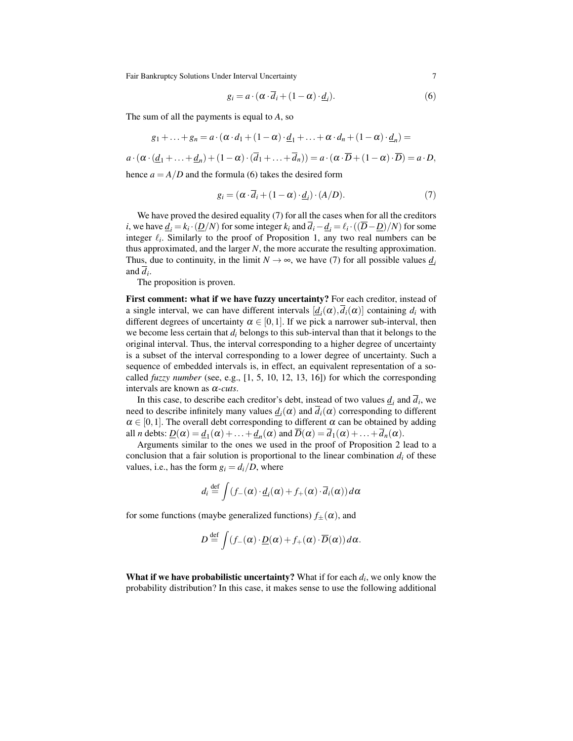$$
g_i = a \cdot (\alpha \cdot d_i + (1 - \alpha) \cdot \underline{d_i}). \tag{6}
$$

The sum of all the payments is equal to *A*, so

$$
g_1 + \ldots + g_n = a \cdot (\alpha \cdot d_1 + (1 - \alpha) \cdot \underline{d}_1 + \ldots + \alpha \cdot d_n + (1 - \alpha) \cdot \underline{d}_n) =
$$

 $a \cdot (\alpha \cdot (\underline{d}_1 + \ldots + \underline{d}_n) + (1 - \alpha) \cdot (\overline{d}_1 + \ldots + \overline{d}_n)) = a \cdot (\alpha \cdot \overline{D} + (1 - \alpha) \cdot \overline{D}) = a \cdot D$ ,

hence  $a = A/D$  and the formula (6) takes the desired form

$$
g_i = (\alpha \cdot \overline{d}_i + (1 - \alpha) \cdot \underline{d}_i) \cdot (A/D). \tag{7}
$$

We have proved the desired equality (7) for all the cases when for all the creditors *i*, we have  $\underline{d}_i = k_i \cdot (\underline{D}/N)$  for some integer  $k_i$  and  $d_i - \underline{d}_i = \ell_i \cdot ((\overline{D} - \underline{D})/N)$  for some integer  $\ell_i$ . Similarly to the proof of Proposition 1, any two real numbers can be thus approximated, and the larger *N*, the more accurate the resulting approximation. Thus, due to continuity, in the limit  $N \to \infty$ , we have (7) for all possible values  $d_i$ and *d<sup>i</sup>* .

The proposition is proven.

First comment: what if we have fuzzy uncertainty? For each creditor, instead of a single interval, we can have different intervals  $[\underline{d}_i(\alpha), d_i(\alpha)]$  containing  $d_i$  with different degrees of uncertainty  $\alpha \in [0,1]$ . If we pick a narrower sub-interval, then we become less certain that *d<sup>i</sup>* belongs to this sub-interval than that it belongs to the original interval. Thus, the interval corresponding to a higher degree of uncertainty is a subset of the interval corresponding to a lower degree of uncertainty. Such a sequence of embedded intervals is, in effect, an equivalent representation of a socalled *fuzzy number* (see, e.g., [1, 5, 10, 12, 13, 16]) for which the corresponding intervals are known as α*-cuts*.

In this case, to describe each creditor's debt, instead of two values  $\underline{d}_i$  and  $d_i$ , we need to describe infinitely many values  $\underline{d}_i(\alpha)$  and  $d_i(\alpha)$  corresponding to different  $\alpha \in [0,1]$ . The overall debt corresponding to different  $\alpha$  can be obtained by adding all *n* debts:  $\underline{D}(\alpha) = \underline{d}_1(\alpha) + \ldots + \underline{d}_n(\alpha)$  and  $\overline{D}(\alpha) = d_1(\alpha) + \ldots + d_n(\alpha)$ .

Arguments similar to the ones we used in the proof of Proposition 2 lead to a conclusion that a fair solution is proportional to the linear combination  $d_i$  of these values, i.e., has the form  $g_i = d_i/D$ , where

$$
d_i \stackrel{\text{def}}{=} \int (f_{-}(\alpha) \cdot \underline{d}_i(\alpha) + f_{+}(\alpha) \cdot \overline{d}_i(\alpha)) d\alpha
$$

for some functions (maybe generalized functions)  $f_{\pm}(\alpha)$ , and

$$
D \stackrel{\text{def}}{=} \int (f_{-}(\alpha) \cdot \underline{D}(\alpha) + f_{+}(\alpha) \cdot \overline{D}(\alpha)) d\alpha.
$$

What if we have probabilistic uncertainty? What if for each *d<sup>i</sup>* , we only know the probability distribution? In this case, it makes sense to use the following additional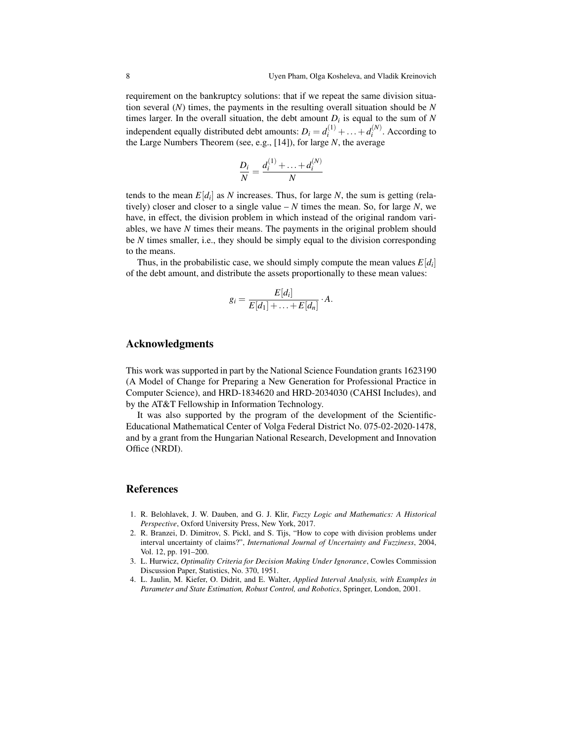requirement on the bankruptcy solutions: that if we repeat the same division situation several (*N*) times, the payments in the resulting overall situation should be *N* times larger. In the overall situation, the debt amount  $D_i$  is equal to the sum of  $N$ independent equally distributed debt amounts:  $D_i = d_i^{(1)} + ... + d_i^{(N)}$  $i^{(IV)}$ . According to the Large Numbers Theorem (see, e.g., [14]), for large *N*, the average

$$
\frac{D_i}{N} = \frac{d_i^{(1)} + \dots + d_i^{(N)}}{N}
$$

tends to the mean  $E[d_i]$  as *N* increases. Thus, for large *N*, the sum is getting (relatively) closer and closer to a single value  $-N$  times the mean. So, for large N, we have, in effect, the division problem in which instead of the original random variables, we have *N* times their means. The payments in the original problem should be *N* times smaller, i.e., they should be simply equal to the division corresponding to the means.

Thus, in the probabilistic case, we should simply compute the mean values  $E[d_i]$ of the debt amount, and distribute the assets proportionally to these mean values:

$$
g_i = \frac{E[d_i]}{E[d_1] + \ldots + E[d_n]} \cdot A.
$$

#### Acknowledgments

This work was supported in part by the National Science Foundation grants 1623190 (A Model of Change for Preparing a New Generation for Professional Practice in Computer Science), and HRD-1834620 and HRD-2034030 (CAHSI Includes), and by the AT&T Fellowship in Information Technology.

It was also supported by the program of the development of the Scientific-Educational Mathematical Center of Volga Federal District No. 075-02-2020-1478, and by a grant from the Hungarian National Research, Development and Innovation Office (NRDI).

#### References

- 1. R. Belohlavek, J. W. Dauben, and G. J. Klir, *Fuzzy Logic and Mathematics: A Historical Perspective*, Oxford University Press, New York, 2017.
- 2. R. Branzei, D. Dimitrov, S. Pickl, and S. Tijs, "How to cope with division problems under interval uncertainty of claims?", *International Journal of Uncertainty and Fuzziness*, 2004, Vol. 12, pp. 191–200.
- 3. L. Hurwicz, *Optimality Criteria for Decision Making Under Ignorance*, Cowles Commission Discussion Paper, Statistics, No. 370, 1951.
- 4. L. Jaulin, M. Kiefer, O. Didrit, and E. Walter, *Applied Interval Analysis, with Examples in Parameter and State Estimation, Robust Control, and Robotics*, Springer, London, 2001.